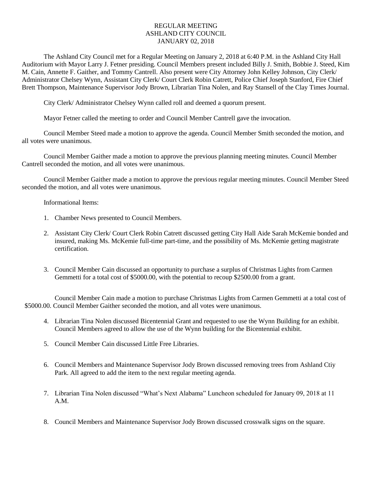## REGULAR MEETING ASHLAND CITY COUNCIL JANUARY 02, 2018

The Ashland City Council met for a Regular Meeting on January 2, 2018 at 6:40 P.M. in the Ashland City Hall Auditorium with Mayor Larry J. Fetner presiding. Council Members present included Billy J. Smith, Bobbie J. Steed, Kim M. Cain, Annette F. Gaither, and Tommy Cantrell. Also present were City Attorney John Kelley Johnson, City Clerk/ Administrator Chelsey Wynn, Assistant City Clerk/ Court Clerk Robin Catrett, Police Chief Joseph Stanford, Fire Chief Brett Thompson, Maintenance Supervisor Jody Brown, Librarian Tina Nolen, and Ray Stansell of the Clay Times Journal.

City Clerk/ Administrator Chelsey Wynn called roll and deemed a quorum present.

Mayor Fetner called the meeting to order and Council Member Cantrell gave the invocation.

Council Member Steed made a motion to approve the agenda. Council Member Smith seconded the motion, and all votes were unanimous.

Council Member Gaither made a motion to approve the previous planning meeting minutes. Council Member Cantrell seconded the motion, and all votes were unanimous.

Council Member Gaither made a motion to approve the previous regular meeting minutes. Council Member Steed seconded the motion, and all votes were unanimous.

Informational Items:

- 1. Chamber News presented to Council Members.
- 2. Assistant City Clerk/ Court Clerk Robin Catrett discussed getting City Hall Aide Sarah McKemie bonded and insured, making Ms. McKemie full-time part-time, and the possibility of Ms. McKemie getting magistrate certification.
- 3. Council Member Cain discussed an opportunity to purchase a surplus of Christmas Lights from Carmen Gemmetti for a total cost of \$5000.00, with the potential to recoup \$2500.00 from a grant.

Council Member Cain made a motion to purchase Christmas Lights from Carmen Gemmetti at a total cost of \$5000.00. Council Member Gaither seconded the motion, and all votes were unanimous.

- 4. Librarian Tina Nolen discussed Bicentennial Grant and requested to use the Wynn Building for an exhibit. Council Members agreed to allow the use of the Wynn building for the Bicentennial exhibit.
- 5. Council Member Cain discussed Little Free Libraries.
- 6. Council Members and Maintenance Supervisor Jody Brown discussed removing trees from Ashland Ctiy Park. All agreed to add the item to the next regular meeting agenda.
- 7. Librarian Tina Nolen discussed "What's Next Alabama" Luncheon scheduled for January 09, 2018 at 11 A.M.
- 8. Council Members and Maintenance Supervisor Jody Brown discussed crosswalk signs on the square.